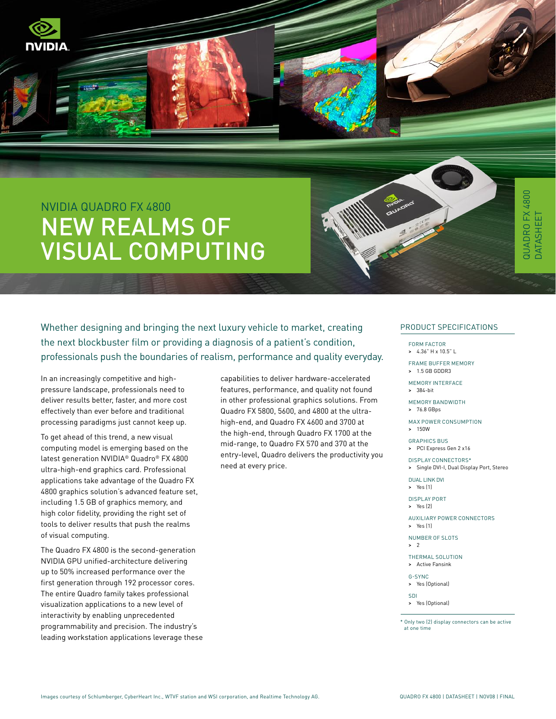

# QUADRO FX 4800 QUADRO FX 4800 DATASHEET **DATASHEET**

# NVIDIA QUADRO FX 4800 NEW REALMS OF VISUAL COMPUTING



Whether designing and bringing the next luxury vehicle to market, creating the next blockbuster film or providing a diagnosis of a patient's condition, professionals push the boundaries of realism, performance and quality everyday.

In an increasingly competitive and highpressure landscape, professionals need to deliver results better, faster, and more cost effectively than ever before and traditional processing paradigms just cannot keep up.

To get ahead of this trend, a new visual computing model is emerging based on the latest generation NVIDIA® Quadro® FX 4800 ultra-high-end graphics card. Professional applications take advantage of the Quadro FX 4800 graphics solution's advanced feature set, including 1.5 GB of graphics memory, and high color fidelity, providing the right set of tools to deliver results that push the realms of visual computing.

The Quadro FX 4800 is the second-generation NVIDIA GPU unified-architecture delivering up to 50% increased performance over the first generation through 192 processor cores. The entire Quadro family takes professional visualization applications to a new level of interactivity by enabling unprecedented programmability and precision. The industry's leading workstation applications leverage these capabilities to deliver hardware-accelerated features, performance, and quality not found in other professional graphics solutions. From Quadro FX 5800, 5600, and 4800 at the ultrahigh-end, and Quadro FX 4600 and 3700 at the high-end, through Quadro FX 1700 at the mid-range, to Quadro FX 570 and 370 at the entry-level, Quadro delivers the productivity you need at every price.

#### PRODUCT SPECIFICATIONS

FORM FACTOR

> 4.36" H x 10.5" L

Frame Buffer Memory > 1.5 GB GDDR3

Memory Interface > 384-bit

Memory Bandwidth

> 76.8 GBps

Max Power Consumption > 150W

Graphics Bus > PCI Express Gen 2 x16

Display Connectors\*

> Single DVI-I, Dual Display Port, Stereo

Dual Link DVI > Yes (1)

display port > Yes (2)

Auxiliary Power Connectors > Yes (1)

Number of Slots > 2

Thermal Solution > Active Fansink

G-Sync > Yes (Optional)

SDI

> Yes (Optional)

\* Only two (2) display connectors can be active at one time